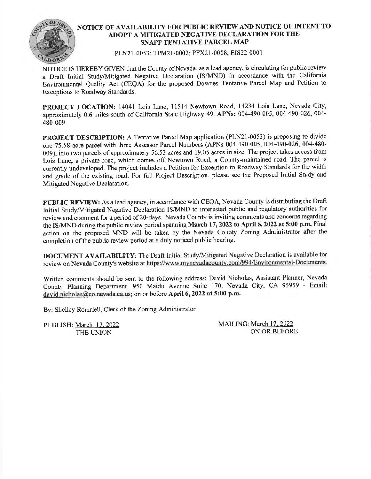

## **NOTICE OF AVAILABILITY FOR PUBLIC REVIEW AND NOTICE OF INTENT TO ADOPT A MITIGATED NEGATIVE DECLARATION FOR THE SNAPP TENTATIVE PARCEL MAP**

PLN21-0053; TPM21-0002; PFX21-0008; EIS22-0001

NOTICE IS HEREBY GIVEN that the County of Nevada, as a lead agency, is circulating for public review a Draft Initial Study/Mitigated Negative Declaration (IS/MND) in accordance with the California Environmental Quality Act (CEQA) for the proposed Downes Tentative Parcel Map and Petition to Exceptions to Roadway Standards.

**PROJECT LOCATION:** 14041 Lois Lane, 11514 Newtown Road, 14234 Lois Lane, Nevada City, approximately 0.6 miles south of California State Highway 49. **APNs:** 004-490-005, 004-490-026, 004- 480-009

PROJECT DESCRIPTION: A Tentative Parcel Map application (PLN21-0053) is proposing to divide one 75.58-acre parcel with three Assessor Parcel Numbers (APNs 004-490-005, 004-490-026, 004-480- 009), into two parcels of approximately 56.53 acres and 19.05 acres in size. The project takes access from Lois Lane, a private road, which comes off Newtown Road, a County-maintained road. The parcel is currently undeveloped. The project includes a Petition for Exception to Roadway Standards for the width and grade of the existing road. For full Project Description, please see the Proposed Initial Study and Mitigated Negative Declaration.

**PUBLIC REVIEW:** As a lead agency, in accordance with CEQA, Nevada County is distributing the Draft Initial Study/Mitigated Negative Declaration IS/MND to interested public and regulatory authorities for review and comment for a period of 20-days. Nevada County is inviting comments and concerns regarding the IS/MND during the public review period spanning **March** 17, **2022 to April 6, 2022 at 5:00 p.m.** Final action on the proposed MND will be taken by the Nevada County Zoning Administrator after the completion of the public review period at a duly noticed public hearing.

**DOCUMENT AVAILABILITY:** The Draft Initial Study/Mitigated Negative Declaration is available for review on Nevada County's website at https://www.mynevadacounty.com/994/Environmental-Documents.

Written comments should be sent to the following address: David Nicholas, Assistant Planner, Nevada County Planning Department, 950 Maidu Avenue Suite 170, Nevada City, CA 95959 - Email: david.nicholas@co.nevada.ca.us; on or before April 6, 2022 at 5:00 p.m.

By: Shelley Romriell, Clerk of the Zoning Administrator

PUBLISH: March 17, 2022 THE UNION

MAILING: March 17. 2022 ON OR BEFORE